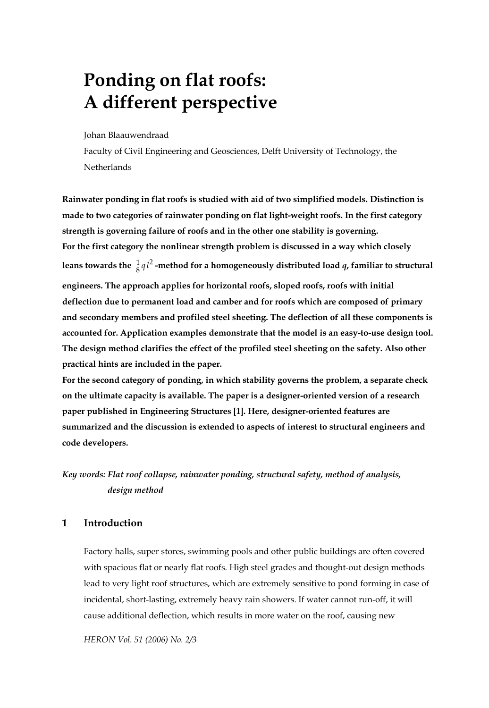# **Ponding on flat roofs: A different perspective**

Johan Blaauwendraad

Faculty of Civil Engineering and Geosciences, Delft University of Technology, the **Netherlands** 

**Rainwater ponding in flat roofs is studied with aid of two simplified models. Distinction is made to two categories of rainwater ponding on flat light-weight roofs. In the first category strength is governing failure of roofs and in the other one stability is governing. For the first category the nonlinear strength problem is discussed in a way which closely**  leans towards the  $\frac{1}{8} q l^2$  -method for a homogeneously distributed load *q*, familiar to structural **engineers. The approach applies for horizontal roofs, sloped roofs, roofs with initial deflection due to permanent load and camber and for roofs which are composed of primary and secondary members and profiled steel sheeting. The deflection of all these components is accounted for. Application examples demonstrate that the model is an easy-to-use design tool. The design method clarifies the effect of the profiled steel sheeting on the safety. Also other practical hints are included in the paper.** 

**For the second category of ponding, in which stability governs the problem, a separate check on the ultimate capacity is available. The paper is a designer-oriented version of a research paper published in Engineering Structures [1]. Here, designer-oriented features are summarized and the discussion is extended to aspects of interest to structural engineers and code developers.** 

*Key words: Flat roof collapse, rainwater ponding, structural safety, method of analysis, design method* 

# **1 Introduction**

Factory halls, super stores, swimming pools and other public buildings are often covered with spacious flat or nearly flat roofs. High steel grades and thought-out design methods lead to very light roof structures, which are extremely sensitive to pond forming in case of incidental, short-lasting, extremely heavy rain showers. If water cannot run-off, it will cause additional deflection, which results in more water on the roof, causing new

*HERON Vol. 51 (2006) No. 2/3*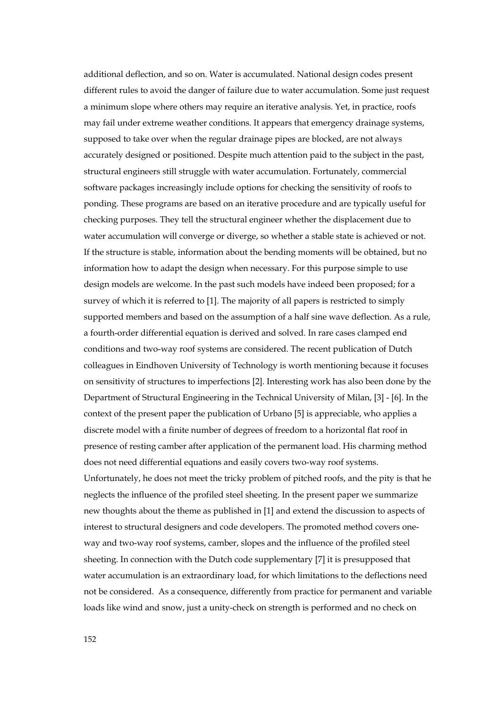additional deflection, and so on. Water is accumulated. National design codes present different rules to avoid the danger of failure due to water accumulation. Some just request a minimum slope where others may require an iterative analysis. Yet, in practice, roofs may fail under extreme weather conditions. It appears that emergency drainage systems, supposed to take over when the regular drainage pipes are blocked, are not always accurately designed or positioned. Despite much attention paid to the subject in the past, structural engineers still struggle with water accumulation. Fortunately, commercial software packages increasingly include options for checking the sensitivity of roofs to ponding. These programs are based on an iterative procedure and are typically useful for checking purposes. They tell the structural engineer whether the displacement due to water accumulation will converge or diverge, so whether a stable state is achieved or not. If the structure is stable, information about the bending moments will be obtained, but no information how to adapt the design when necessary. For this purpose simple to use design models are welcome. In the past such models have indeed been proposed; for a survey of which it is referred to [1]. The majority of all papers is restricted to simply supported members and based on the assumption of a half sine wave deflection. As a rule, a fourth-order differential equation is derived and solved. In rare cases clamped end conditions and two-way roof systems are considered. The recent publication of Dutch colleagues in Eindhoven University of Technology is worth mentioning because it focuses on sensitivity of structures to imperfections [2]. Interesting work has also been done by the Department of Structural Engineering in the Technical University of Milan, [3] - [6]. In the context of the present paper the publication of Urbano [5] is appreciable, who applies a discrete model with a finite number of degrees of freedom to a horizontal flat roof in presence of resting camber after application of the permanent load. His charming method does not need differential equations and easily covers two-way roof systems. Unfortunately, he does not meet the tricky problem of pitched roofs, and the pity is that he neglects the influence of the profiled steel sheeting. In the present paper we summarize new thoughts about the theme as published in [1] and extend the discussion to aspects of interest to structural designers and code developers. The promoted method covers oneway and two-way roof systems, camber, slopes and the influence of the profiled steel sheeting. In connection with the Dutch code supplementary [7] it is presupposed that water accumulation is an extraordinary load, for which limitations to the deflections need not be considered. As a consequence, differently from practice for permanent and variable loads like wind and snow, just a unity-check on strength is performed and no check on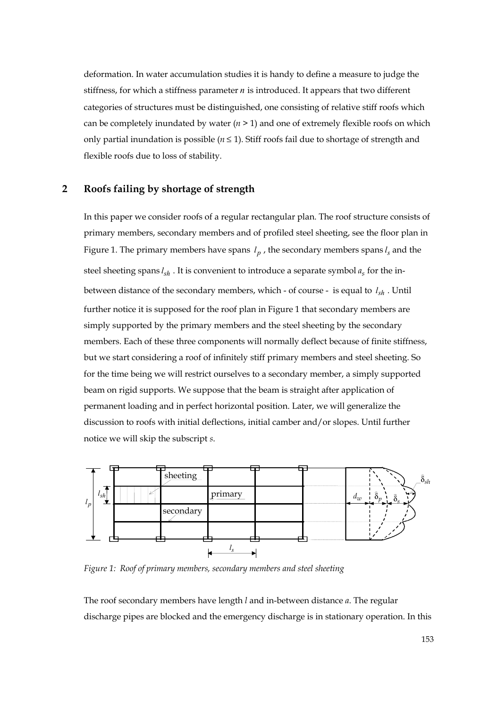deformation. In water accumulation studies it is handy to define a measure to judge the stiffness, for which a stiffness parameter *n* is introduced. It appears that two different categories of structures must be distinguished, one consisting of relative stiff roofs which can be completely inundated by water  $(n \geq 1)$  and one of extremely flexible roofs on which only partial inundation is possible  $(n \leq 1)$ . Stiff roofs fail due to shortage of strength and flexible roofs due to loss of stability.

# **2 Roofs failing by shortage of strength**

In this paper we consider roofs of a regular rectangular plan. The roof structure consists of primary members, secondary members and of profiled steel sheeting, see the floor plan in Figure 1. The primary members have spans  $l_p$ , the secondary members spans  $l_s$  and the steel sheeting spans  $l_{sh}$ . It is convenient to introduce a separate symbol  $a_s$  for the inbetween distance of the secondary members, which - of course - is equal to *sh l* . Until further notice it is supposed for the roof plan in Figure 1 that secondary members are simply supported by the primary members and the steel sheeting by the secondary members. Each of these three components will normally deflect because of finite stiffness, but we start considering a roof of infinitely stiff primary members and steel sheeting. So for the time being we will restrict ourselves to a secondary member, a simply supported beam on rigid supports. We suppose that the beam is straight after application of permanent loading and in perfect horizontal position. Later, we will generalize the discussion to roofs with initial deflections, initial camber and/or slopes. Until further notice we will skip the subscript *s*.



*Figure 1: Roof of primary members, secondary members and steel sheeting* 

The roof secondary members have length *l* and in-between distance *a*. The regular discharge pipes are blocked and the emergency discharge is in stationary operation. In this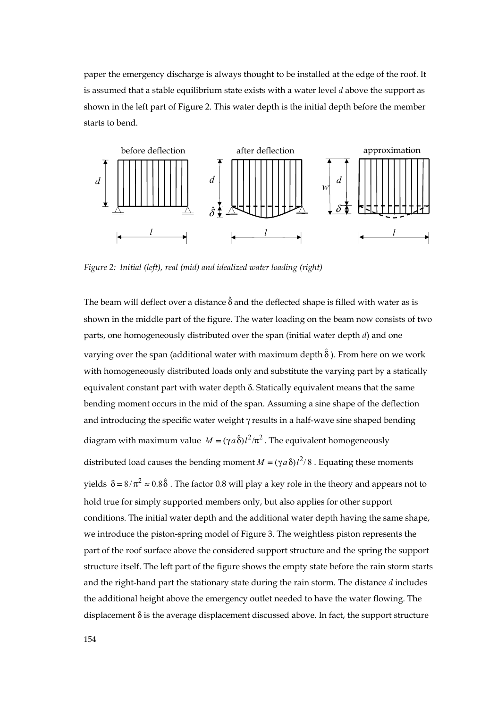paper the emergency discharge is always thought to be installed at the edge of the roof. It is assumed that a stable equilibrium state exists with a water level *d* above the support as shown in the left part of Figure 2. This water depth is the initial depth before the member starts to bend.



*Figure 2: Initial (left), real (mid) and idealized water loading (right)* 

The beam will deflect over a distance  $\hat{\delta}$  and the deflected shape is filled with water as is shown in the middle part of the figure. The water loading on the beam now consists of two parts, one homogeneously distributed over the span (initial water depth *d*) and one varying over the span (additional water with maximum depth  $\hat{\delta}$  ). From here on we work with homogeneously distributed loads only and substitute the varying part by a statically equivalent constant part with water depth δ. Statically equivalent means that the same bending moment occurs in the mid of the span. Assuming a sine shape of the deflection and introducing the specific water weight γ results in a half-wave sine shaped bending diagram with maximum value  $M = (\gamma a \hat{\delta}) l^2 / \pi^2$ . The equivalent homogeneously distributed load causes the bending moment  $M = (\gamma a \delta)l^2/8$ . Equating these moments yields  $\delta = 8/\pi^2 \approx 0.8\hat{\delta}$ . The factor 0.8 will play a key role in the theory and appears not to hold true for simply supported members only, but also applies for other support conditions. The initial water depth and the additional water depth having the same shape, we introduce the piston-spring model of Figure 3. The weightless piston represents the part of the roof surface above the considered support structure and the spring the support structure itself. The left part of the figure shows the empty state before the rain storm starts and the right-hand part the stationary state during the rain storm. The distance *d* includes the additional height above the emergency outlet needed to have the water flowing. The displacement δ is the average displacement discussed above. In fact, the support structure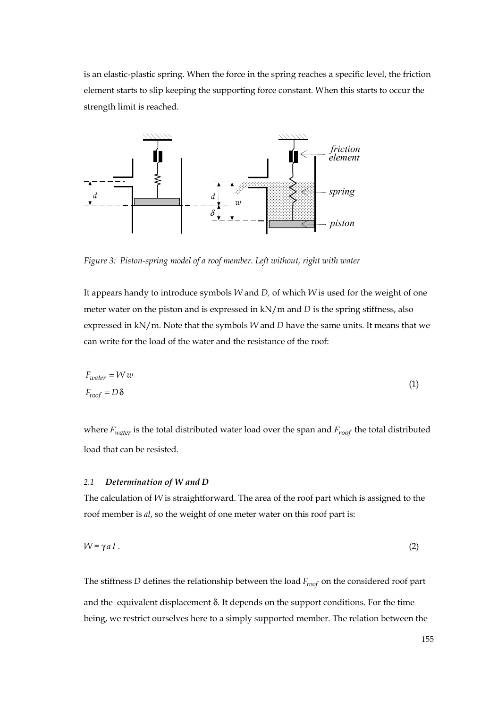is an elastic-plastic spring. When the force in the spring reaches a specific level, the friction element starts to slip keeping the supporting force constant. When this starts to occur the strength limit is reached.



*Figure 3: Piston-spring model of a roof member. Left without, right with water* 

It appears handy to introduce symbols *W* and *D,* of which *W* is used for the weight of one meter water on the piston and is expressed in kN/m and *D* is the spring stiffness, also expressed in kN/m. Note that the symbols *W* and *D* have the same units. It means that we can write for the load of the water and the resistance of the roof:

$$
F_{water} = W w
$$
  
(1)  

$$
F_{roof} = D \delta
$$

where *Fwater* is the total distributed water load over the span and *Froof* the total distributed load that can be resisted.

#### *2.1 Determination of W and D*

The calculation of *W* is straightforward. The area of the roof part which is assigned to the roof member is *al*, so the weight of one meter water on this roof part is:

$$
W = \gamma a l \tag{2}
$$

The stiffness *D* defines the relationship between the load *Froof* on the considered roof part and the equivalent displacement  $\delta$ . It depends on the support conditions. For the time being, we restrict ourselves here to a simply supported member. The relation between the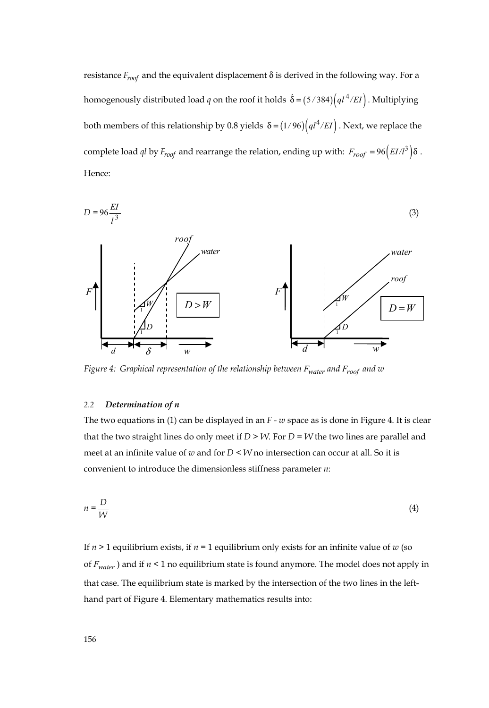resistance  $F_{\text{root}}$  and the equivalent displacement  $\delta$  is derived in the following way. For a homogenously distributed load *q* on the roof it holds  $\hat{\delta} = (5/384) \left( q l^4 / EI \right)$ . Multiplying both members of this relationship by 0.8 yields  $\delta = (1/96) (q l^4 / EI)$ . Next, we replace the complete load *ql* by  $F_{\text{roof}}$  and rearrange the relation, ending up with:  $F_{\text{roof}} = 96 \left( EI/l^3 \right) \delta$ . Hence:



*Figure 4: Graphical representation of the relationship between Fwater and Froof and w* 

# *2.2 Determination of n*

The two equations in (1) can be displayed in an *F - w* space as is done in Figure 4. It is clear that the two straight lines do only meet if  $D > W$ . For  $D = W$  the two lines are parallel and meet at an infinite value of *w* and for *D* < *W* no intersection can occur at all. So it is convenient to introduce the dimensionless stiffness parameter *n*:

$$
n = \frac{D}{W} \tag{4}
$$

If  $n > 1$  equilibrium exists, if  $n = 1$  equilibrium only exists for an infinite value of  $w$  (so of  $F_{water}$  ) and if  $n \leq 1$  no equilibrium state is found anymore. The model does not apply in that case. The equilibrium state is marked by the intersection of the two lines in the lefthand part of Figure 4. Elementary mathematics results into: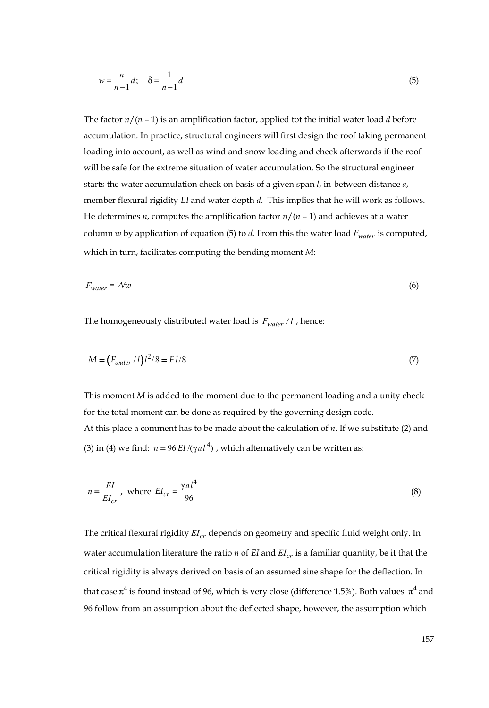$$
w = \frac{n}{n-1}d; \quad \delta = \frac{1}{n-1}d
$$
\n<sup>(5)</sup>

The factor  $n/(n-1)$  is an amplification factor, applied tot the initial water load *d* before accumulation. In practice, structural engineers will first design the roof taking permanent loading into account, as well as wind and snow loading and check afterwards if the roof will be safe for the extreme situation of water accumulation. So the structural engineer starts the water accumulation check on basis of a given span *l*, in-between distance *a*, member flexural rigidity *EI* and water depth *d*. This implies that he will work as follows. He determines *n*, computes the amplification factor *n*/(*n* – 1) and achieves at a water column  $w$  by application of equation (5) to  $d$ . From this the water load  $F_{water}$  is computed, which in turn, facilitates computing the bending moment *M*:

$$
F_{water} = Ww \tag{6}
$$

The homogeneously distributed water load is  $F_{water}/l$ , hence:

$$
M = \left(\frac{F_{water}}{l}\right)l^2/8 = Fl/8\tag{7}
$$

This moment *M* is added to the moment due to the permanent loading and a unity check for the total moment can be done as required by the governing design code. At this place a comment has to be made about the calculation of *n*. If we substitute (2) and (3) in (4) we find:  $n = 96 EI/(y a l^4)$ , which alternatively can be written as:

$$
n = \frac{EI}{EI_{cr}}, \text{ where } EI_{cr} = \frac{\gamma a l^4}{96} \tag{8}
$$

The critical flexural rigidity  $EI_{cr}$  depends on geometry and specific fluid weight only. In water accumulation literature the ratio  $n$  of *EI* and  $EI_{cr}$  is a familiar quantity, be it that the critical rigidity is always derived on basis of an assumed sine shape for the deflection. In that case  $\pi^4$  is found instead of 96, which is very close (difference 1.5%). Both values  $\pi^4$  and 96 follow from an assumption about the deflected shape, however, the assumption which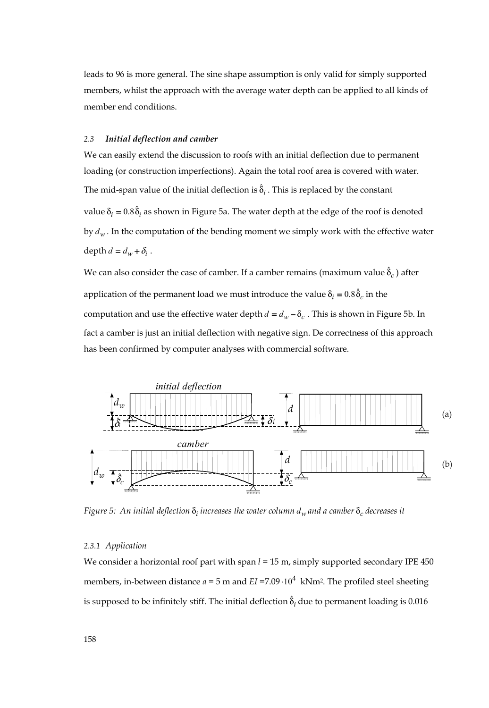leads to 96 is more general. The sine shape assumption is only valid for simply supported members, whilst the approach with the average water depth can be applied to all kinds of member end conditions.

# *2.3 Initial deflection and camber*

We can easily extend the discussion to roofs with an initial deflection due to permanent loading (or construction imperfections). Again the total roof area is covered with water. The mid-span value of the initial deflection is  $\hat{\delta}_i$  . This is replaced by the constant value  $\delta_i = 0.8 \hat{\delta}_i$  as shown in Figure 5a. The water depth at the edge of the roof is denoted by *dw* . In the computation of the bending moment we simply work with the effective water depth  $d = d_w + \delta_i$ .

We can also consider the case of camber. If a camber remains (maximum value  $\hat{\delta}_c$  ) after application of the permanent load we must introduce the value  $\delta_i = 0.8 \hat{\delta}_c$  in the computation and use the effective water depth  $d = d_w - \delta_c$ . This is shown in Figure 5b. In fact a camber is just an initial deflection with negative sign. De correctness of this approach has been confirmed by computer analyses with commercial software.



*Figure 5:* An initial deflection  $\delta_i$  increases the water column  $d_w$  and a camber  $\delta_c$  decreases it

#### *2.3.1 Application*

We consider a horizontal roof part with span  $l = 15$  m, simply supported secondary IPE 450 members, in-between distance  $a = 5$  m and  $EI = 7.09 \cdot 10^4$  kNm<sup>2</sup>. The profiled steel sheeting is supposed to be infinitely stiff. The initial deflection  $\hat{\delta}_i$  due to permanent loading is 0.016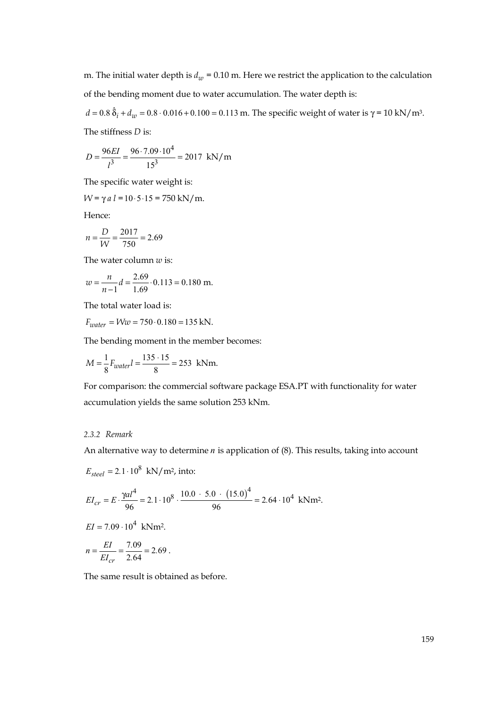m. The initial water depth is  $d_w = 0.10$  m. Here we restrict the application to the calculation of the bending moment due to water accumulation. The water depth is:

 $d = 0.8 \hat{\delta}_i + d_w = 0.8 \cdot 0.016 + 0.100 = 0.113$  m. The specific weight of water is γ = 10 kN/m<sup>3</sup>. The stiffness *D* is:

$$
D = \frac{96EI}{l^3} = \frac{96 \cdot 7.09 \cdot 10^4}{15^3} = 2017 \text{ kN/m}
$$

The specific water weight is:

 $W = \gamma a l = 10.5 \cdot 15 = 750 \text{ kN/m}.$ 

Hence:

$$
n = \frac{D}{W} = \frac{2017}{750} = 2.69
$$

The water column *w* is:

$$
w = \frac{n}{n-1}d = \frac{2.69}{1.69} \cdot 0.113 = 0.180 \text{ m}.
$$

The total water load is:

 $F_{water} = Ww = 750 \cdot 0.180 = 135 \text{ kN}.$ 

The bending moment in the member becomes:

$$
M = \frac{1}{8}F_{water}l = \frac{135 \cdot 15}{8} = 253 \text{ kNm}.
$$

For comparison: the commercial software package ESA.PT with functionality for water accumulation yields the same solution 253 kNm.

#### *2.3.2 Remark*

An alternative way to determine *n* is application of (8). This results, taking into account

$$
E_{steel} = 2.1 \cdot 10^8 \text{ kN/m}^2, \text{ into:}
$$
  
\n
$$
EI_{cr} = E \cdot \frac{\gamma a l^4}{96} = 2.1 \cdot 10^8 \cdot \frac{10.0 \cdot 5.0 \cdot (15.0)^4}{96} = 2.64 \cdot 10^4 \text{ kNm}^2.
$$
  
\n
$$
EI = 7.09 \cdot 10^4 \text{ kNm}^2.
$$
  
\n
$$
n = \frac{EI}{EI_{cr}} = \frac{7.09}{2.64} = 2.69.
$$

The same result is obtained as before.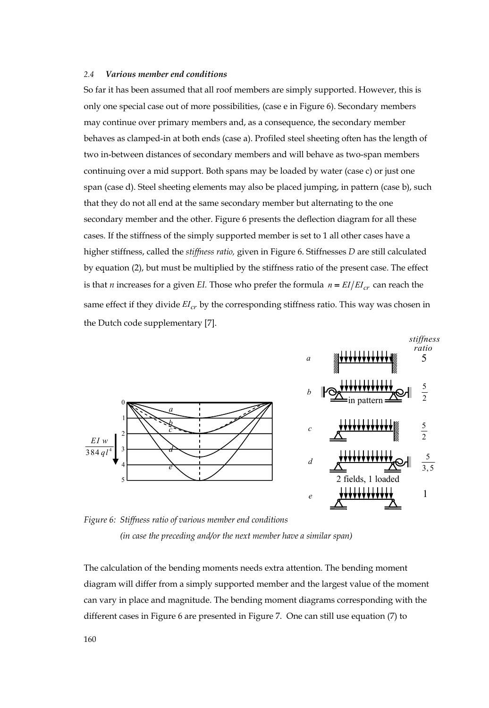#### *2.4 Various member end conditions*

So far it has been assumed that all roof members are simply supported. However, this is only one special case out of more possibilities, (case e in Figure 6). Secondary members may continue over primary members and, as a consequence, the secondary member behaves as clamped-in at both ends (case a). Profiled steel sheeting often has the length of two in-between distances of secondary members and will behave as two-span members continuing over a mid support. Both spans may be loaded by water (case c) or just one span (case d). Steel sheeting elements may also be placed jumping, in pattern (case b), such that they do not all end at the same secondary member but alternating to the one secondary member and the other. Figure 6 presents the deflection diagram for all these cases. If the stiffness of the simply supported member is set to 1 all other cases have a higher stiffness, called the *stiffness ratio,* given in Figure 6. Stiffnesses *D* are still calculated by equation (2), but must be multiplied by the stiffness ratio of the present case. The effect is that *n* increases for a given *EI*. Those who prefer the formula  $n = EI/EI_{cr}$  can reach the same effect if they divide  $EI_{cr}$  by the corresponding stiffness ratio. This way was chosen in the Dutch code supplementary [7].



*Figure 6: Stiffness ratio of various member end conditions (in case the preceding and/or the next member have a similar span)* 

The calculation of the bending moments needs extra attention. The bending moment diagram will differ from a simply supported member and the largest value of the moment can vary in place and magnitude. The bending moment diagrams corresponding with the different cases in Figure 6 are presented in Figure 7. One can still use equation (7) to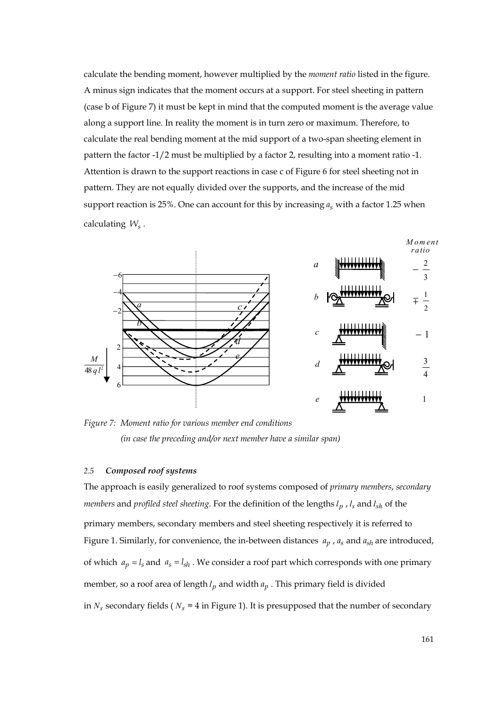calculate the bending moment, however multiplied by the *moment ratio* listed in the figure. A minus sign indicates that the moment occurs at a support. For steel sheeting in pattern (case b of Figure 7) it must be kept in mind that the computed moment is the average value along a support line. In reality the moment is in turn zero or maximum. Therefore, to calculate the real bending moment at the mid support of a two-span sheeting element in pattern the factor -1/2 must be multiplied by a factor 2, resulting into a moment ratio -1. Attention is drawn to the support reactions in case c of Figure 6 for steel sheeting not in pattern. They are not equally divided over the supports, and the increase of the mid support reaction is 25%. One can account for this by increasing  $a<sub>s</sub>$  with a factor 1.25 when calculating *Ws* .



*Figure 7: Moment ratio for various member end conditions (in case the preceding and/or next member have a similar span)* 

#### *2.5 Composed roof systems*

The approach is easily generalized to roof systems composed of *primary members*, *secondary members* and *profiled steel sheeting*. For the definition of the lengths  $l_p$ ,  $l_s$  and  $l_{sh}$  of the primary members, secondary members and steel sheeting respectively it is referred to Figure 1. Similarly, for convenience, the in-between distances  $a_p$ ,  $a_s$  and  $a_{sh}$  are introduced, of which  $a_p = l_s$  and  $a_s = l_{sh}$ . We consider a roof part which corresponds with one primary member, so a roof area of length  $l_p$  and width  $a_p$ . This primary field is divided in  $N_s$  secondary fields ( $N_s$  = 4 in Figure 1). It is presupposed that the number of secondary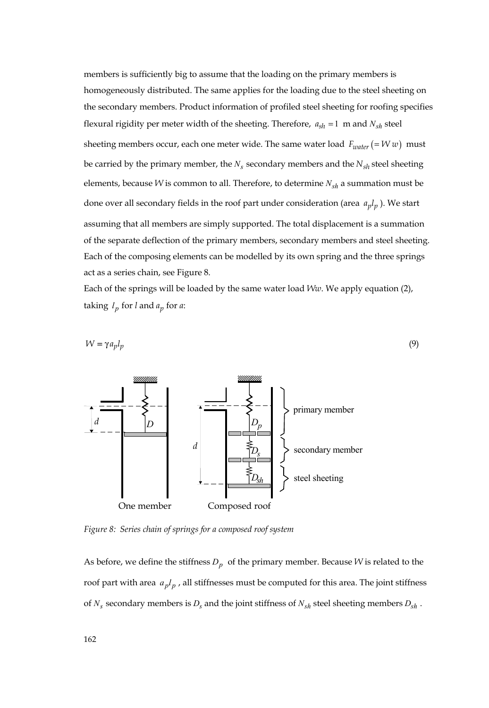members is sufficiently big to assume that the loading on the primary members is homogeneously distributed. The same applies for the loading due to the steel sheeting on the secondary members. Product information of profiled steel sheeting for roofing specifies flexural rigidity per meter width of the sheeting. Therefore,  $a_{sh} = 1$  m and  $N_{sh}$  steel sheeting members occur, each one meter wide. The same water load  $F_{water}$  (=  $Ww$ ) must be carried by the primary member, the  $N_s$  secondary members and the  $N_{sh}$  steel sheeting elements, because *W* is common to all. Therefore, to determine  $N_{sh}$  a summation must be done over all secondary fields in the roof part under consideration (area  $a_p l_p$ ). We start assuming that all members are simply supported. The total displacement is a summation of the separate deflection of the primary members, secondary members and steel sheeting. Each of the composing elements can be modelled by its own spring and the three springs act as a series chain, see Figure 8.

Each of the springs will be loaded by the same water load *Ww*. We apply equation (2), taking  $l_p$  for *l* and  $a_p$  for *a*:

$$
W = \gamma a_p l_p \tag{9}
$$



*Figure 8: Series chain of springs for a composed roof system* 

As before, we define the stiffness  $D_p$  of the primary member. Because *W* is related to the roof part with area  $a_p l_p$ , all stiffnesses must be computed for this area. The joint stiffness of  $N_s$  secondary members is  $D_s$  and the joint stiffness of  $N_{sh}$  steel sheeting members  $D_{sh}$ .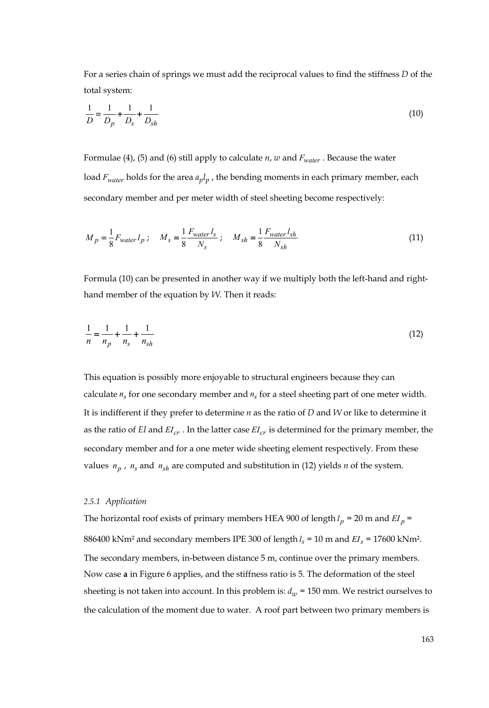For a series chain of springs we must add the reciprocal values to find the stiffness *D* of the total system:

$$
\frac{1}{D} = \frac{1}{D_p} + \frac{1}{D_s} + \frac{1}{D_{sh}}
$$
(10)

Formulae (4), (5) and (6) still apply to calculate *n*, *w* and *Fwater* . Because the water load  $F_{water}$  holds for the area  $a_p l_p$ , the bending moments in each primary member, each secondary member and per meter width of steel sheeting become respectively:

$$
M_{p} = \frac{1}{8} F_{water} l_{p} ; \quad M_{s} = \frac{1}{8} \frac{F_{water} l_{s}}{N_{s}} ; \quad M_{sh} = \frac{1}{8} \frac{F_{water} l_{sh}}{N_{sh}}
$$
(11)

Formula (10) can be presented in another way if we multiply both the left-hand and righthand member of the equation by *W.* Then it reads:

$$
\frac{1}{n} = \frac{1}{n_p} + \frac{1}{n_s} + \frac{1}{n_{sh}}
$$
(12)

This equation is possibly more enjoyable to structural engineers because they can calculate  $n_s$  for one secondary member and  $n_s$  for a steel sheeting part of one meter width. It is indifferent if they prefer to determine *n* as the ratio of *D* and *W* or like to determine it as the ratio of *EI* and  $EI_{cr}$ . In the latter case  $EI_{cr}$  is determined for the primary member, the secondary member and for a one meter wide sheeting element respectively. From these values  $n_p$ ,  $n_s$  and  $n_{sh}$  are computed and substitution in (12) yields  $n$  of the system.

### *2.5.1 Application*

The horizontal roof exists of primary members HEA 900 of length  $l_p$  = 20 m and  $EI_p$  = 886400 kNm<sup>2</sup> and secondary members IPE 300 of length  $l_s = 10$  m and  $EI_s = 17600$  kNm<sup>2</sup>. The secondary members, in-between distance 5 m, continue over the primary members. Now case **a** in Figure 6 applies, and the stiffness ratio is 5. The deformation of the steel sheeting is not taken into account. In this problem is:  $d_w$  = 150 mm. We restrict ourselves to the calculation of the moment due to water. A roof part between two primary members is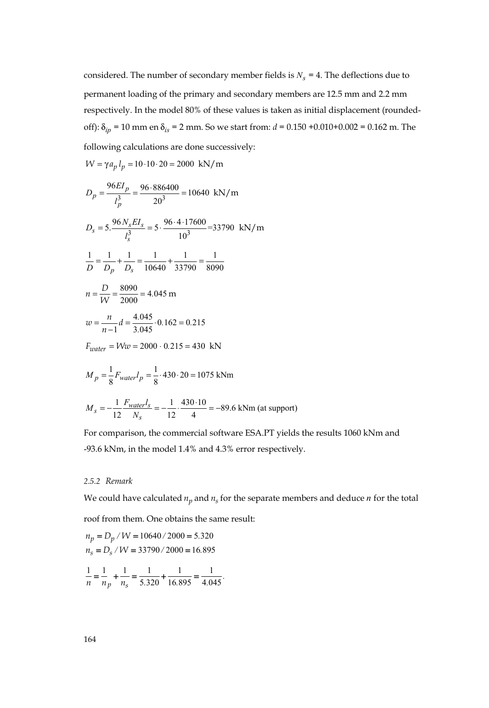considered. The number of secondary member fields is  $N_s = 4$ . The deflections due to permanent loading of the primary and secondary members are 12.5 mm and 2.2 mm respectively. In the model 80% of these values is taken as initial displacement (roundedoff):  $\delta_{ip}$  = 10 mm en  $\delta_{is}$  = 2 mm. So we start from:  $d$  = 0.150 +0.010+0.002 = 0.162 m. The

following calculations are done successively:

$$
W = \gamma a_p l_p = 10 \cdot 10 \cdot 20 = 2000 \text{ kN/m}
$$

$$
D_p = \frac{96EI_p}{l_p^3} = \frac{96.886400}{20^3} = 10640 \text{ kN/m}
$$
  
\n
$$
D_s = 5 \cdot \frac{96N_sEI_s}{l_s^3} = 5 \cdot \frac{96.4 \cdot 17600}{10^3} = 33790 \text{ kN/m}
$$
  
\n
$$
\frac{1}{D} = \frac{1}{D_p} + \frac{1}{D_s} = \frac{1}{10640} + \frac{1}{33790} = \frac{1}{8090}
$$
  
\n
$$
n = \frac{D}{W} = \frac{8090}{2000} = 4.045 \text{ m}
$$
  
\n
$$
w = \frac{n}{n-1}d = \frac{4.045}{3.045} \cdot 0.162 = 0.215
$$
  
\n
$$
F_{water} = W/w = 2000 \cdot 0.215 = 430 \text{ kN}
$$

$$
M_p = \frac{1}{8} F_{water} l_p = \frac{1}{8} \cdot 430 \cdot 20 = 1075 \text{ kNm}
$$

$$
M_s = -\frac{1}{12} \frac{F_{water} l_s}{N_s} = -\frac{1}{12} \cdot \frac{430 \cdot 10}{4} = -89.6 \text{ kNm (at support)}
$$

For comparison, the commercial software ESA.PT yields the results 1060 kNm and -93.6 kNm, in the model 1.4% and 4.3% error respectively.

# *2.5.2 Remark*

We could have calculated  $n_p$  and  $n_s$  for the separate members and deduce  $n$  for the total

roof from them. One obtains the same result:

$$
n_p = D_p / W = 10640 / 2000 = 5.320
$$
  

$$
n_s = D_s / W = 33790 / 2000 = 16.895
$$

$$
\frac{1}{n} = \frac{1}{n_p} + \frac{1}{n_s} = \frac{1}{5.320} + \frac{1}{16.895} = \frac{1}{4.045}.
$$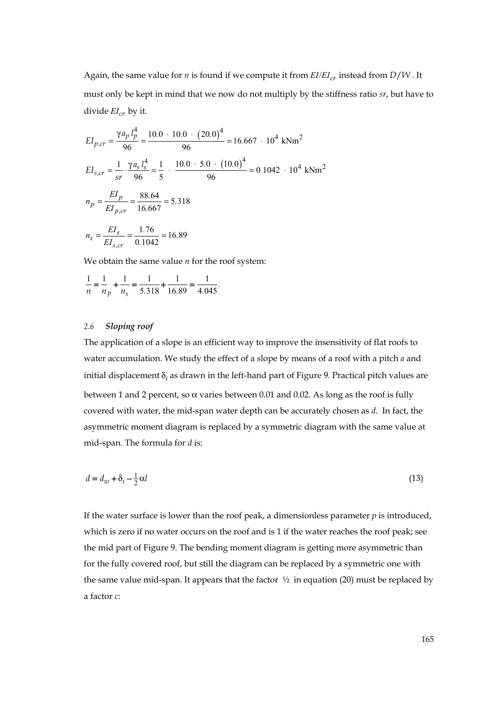Again, the same value for *n* is found if we compute it from  $EI/EI_{cr}$  instead from  $D/W$ . It must only be kept in mind that we now do not multiply by the stiffness ratio *sr*, but have to divide  $EI_{cr}$  by it.

$$
EI_{p,cr} = \frac{\gamma a_p l_p^4}{96} = \frac{10.0 \cdot 10.0 \cdot (20.0)^4}{96} = 16.667 \cdot 10^4 \text{ kNm}^2
$$
  
\n
$$
EI_{s,cr} = \frac{1}{sr} \cdot \frac{\gamma a_s l_s^4}{96} = \frac{1}{5} \cdot \frac{10.0 \cdot 5.0 \cdot (10.0)^4}{96} = 0.1042 \cdot 10^4 \text{ kNm}^2
$$
  
\n
$$
n_p = \frac{EI_p}{EI_{p,cr}} = \frac{88.64}{16.667} = 5.318
$$
  
\n
$$
n_s = \frac{EI_s}{EI_{s,cr}} = \frac{1.76}{0.1042} = 16.89
$$

We obtain the same value *n* for the roof system:

$$
\frac{1}{n} = \frac{1}{n_p} + \frac{1}{n_s} = \frac{1}{5.318} + \frac{1}{16.89} = \frac{1}{4.045}.
$$

# *2.6 Sloping roof*

The application of a slope is an efficient way to improve the insensitivity of flat roofs to water accumulation. We study the effect of a slope by means of a roof with a pitch *a* and initial displacement  $\delta_i$  as drawn in the left-hand part of Figure 9. Practical pitch values are between 1 and 2 percent, so  $\alpha$  varies between 0.01 and 0.02. As long as the roof is fully covered with water, the mid-span water depth can be accurately chosen as *d*. In fact, the asymmetric moment diagram is replaced by a symmetric diagram with the same value at mid-span. The formula for *d* is:

$$
d = d_w + \delta_i - \frac{1}{2}\alpha l \tag{13}
$$

If the water surface is lower than the roof peak, a dimensionless parameter  $p$  is introduced, which is zero if no water occurs on the roof and is 1 if the water reaches the roof peak; see the mid part of Figure 9. The bending moment diagram is getting more asymmetric than for the fully covered roof, but still the diagram can be replaced by a symmetric one with the same value mid-span. It appears that the factor  $\frac{1}{2}$  in equation (20) must be replaced by a factor *c*: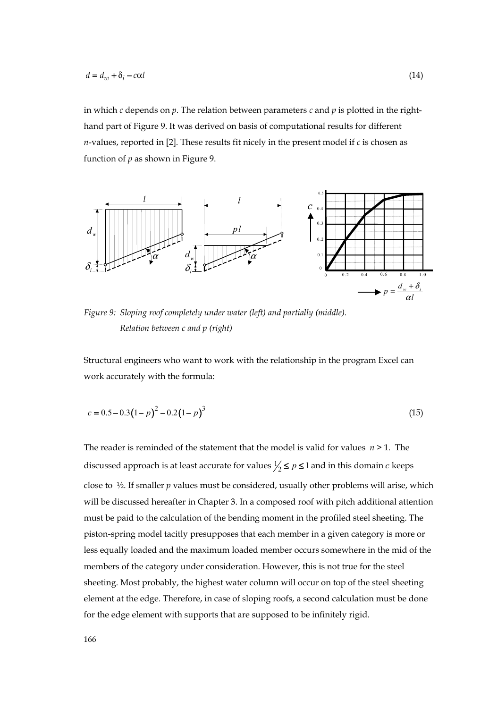in which *c* depends on *p*. The relation between parameters *c* and *p* is plotted in the righthand part of Figure 9. It was derived on basis of computational results for different *n*-values, reported in [2]. These results fit nicely in the present model if *c* is chosen as function of *p* as shown in Figure 9.



*Figure 9: Sloping roof completely under water (left) and partially (middle). Relation between c and p (right)* 

Structural engineers who want to work with the relationship in the program Excel can work accurately with the formula:

$$
c = 0.5 - 0.3(1 - p)^{2} - 0.2(1 - p)^{3}
$$
\n(15)

The reader is reminded of the statement that the model is valid for values *n* > 1. The discussed approach is at least accurate for values  $\frac{1}{2} \leq p \leq 1$  and in this domain *c* keeps close to ½. If smaller *p* values must be considered, usually other problems will arise, which will be discussed hereafter in Chapter 3. In a composed roof with pitch additional attention must be paid to the calculation of the bending moment in the profiled steel sheeting. The piston-spring model tacitly presupposes that each member in a given category is more or less equally loaded and the maximum loaded member occurs somewhere in the mid of the members of the category under consideration. However, this is not true for the steel sheeting. Most probably, the highest water column will occur on top of the steel sheeting element at the edge. Therefore, in case of sloping roofs, a second calculation must be done for the edge element with supports that are supposed to be infinitely rigid.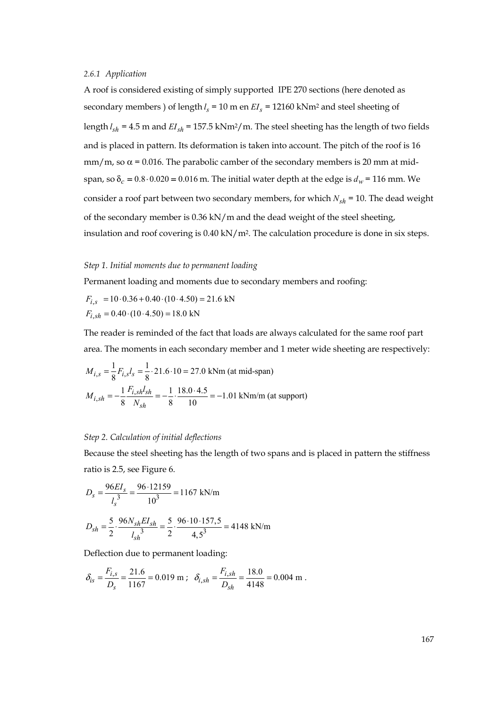## *2.6.1 Application*

A roof is considered existing of simply supported IPE 270 sections (here denoted as secondary members ) of length  $l_s = 10$  m en  $EI_s = 12160$  kNm<sup>2</sup> and steel sheeting of length  $l_{sh}$  = 4.5 m and  $EI_{sh}$  = 157.5 kNm<sup>2</sup>/m. The steel sheeting has the length of two fields and is placed in pattern. Its deformation is taken into account. The pitch of the roof is 16 mm/m, so  $\alpha$  = 0.016. The parabolic camber of the secondary members is 20 mm at midspan, so  $\delta_c = 0.8 \cdot 0.020 = 0.016$  m. The initial water depth at the edge is  $d_w = 116$  mm. We consider a roof part between two secondary members, for which  $N_{sb} = 10$ . The dead weight of the secondary member is 0.36 kN/m and the dead weight of the steel sheeting, insulation and roof covering is  $0.40 \text{ kN/m}^2$ . The calculation procedure is done in six steps.

#### *Step 1. Initial moments due to permanent loading*

Permanent loading and moments due to secondary members and roofing:

 $F_{i,s}$  = 10 · 0.36 + 0.40 · (10 · 4.50) = 21.6 kN  $F_{i,sh} = 0.40 \cdot (10 \cdot 4.50) = 18.0 \text{ kN}$ 

The reader is reminded of the fact that loads are always calculated for the same roof part area. The moments in each secondary member and 1 meter wide sheeting are respectively:

$$
M_{i,s} = \frac{1}{8} F_{i,s} l_s = \frac{1}{8} \cdot 21.6 \cdot 10 = 27.0 \text{ kNm (at mid-span)}
$$
  

$$
M_{i,sh} = -\frac{1}{8} \frac{F_{i,sh} l_{sh}}{N_{sh}} = -\frac{1}{8} \cdot \frac{18.0 \cdot 4.5}{10} = -1.01 \text{ kNm/m (at support)}
$$

#### *Step 2. Calculation of initial deflections*

Because the steel sheeting has the length of two spans and is placed in pattern the stiffness ratio is 2.5, see Figure 6.

$$
D_s = \frac{96EI_s}{l_s^3} = \frac{96.12159}{10^3} = 1167 \text{ kN/m}
$$

$$
D_{sh} = \frac{5}{2} \cdot \frac{96N_{sh}EI_{sh}}{l_{sh}^3} = \frac{5}{2} \cdot \frac{96 \cdot 10 \cdot 157.5}{4.5^3} = 4148 \text{ kN/m}
$$

Deflection due to permanent loading:

$$
\delta_{is} = \frac{F_{i,s}}{D_s} = \frac{21.6}{1167} = 0.019 \text{ m}; \quad \delta_{i,sh} = \frac{F_{i,sh}}{D_{sh}} = \frac{18.0}{4148} = 0.004 \text{ m}.
$$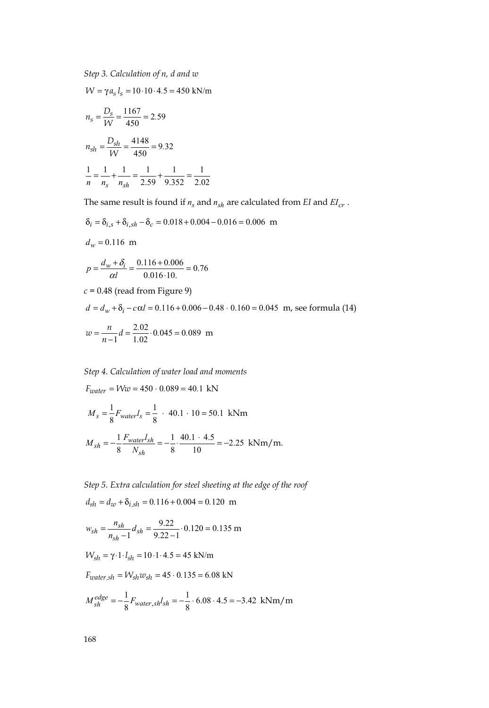*Step 3. Calculation of n, d and w*

 $W = \gamma a_s l_s = 10 \cdot 10 \cdot 4.5 = 450 \text{ kN/m}$ 

$$
n_s = \frac{D_s}{W} = \frac{1167}{450} = 2.59
$$
  

$$
n_{sh} = \frac{D_{sh}}{W} = \frac{4148}{450} = 9.32
$$
  

$$
\frac{1}{n} = \frac{1}{n_s} + \frac{1}{n_{sh}} = \frac{1}{2.59} + \frac{1}{9.352} = \frac{1}{2.02}
$$

The same result is found if  $n_s$  and  $n_{sh}$  are calculated from *EI* and  $EI_{cr}$ .

$$
\delta_i = \delta_{i,s} + \delta_{i,sh} - \delta_c = 0.018 + 0.004 - 0.016 = 0.006 \text{ m}
$$

$$
d_w = 0.116 \text{ m}
$$

$$
p = \frac{d_w + \delta_i}{\alpha l} = \frac{0.116 + 0.006}{0.016 \cdot 10} = 0.76
$$

 $c = 0.48$  (read from Figure 9)

$$
d = d_w + \delta_i - c\alpha l = 0.116 + 0.006 - 0.48 \cdot 0.160 = 0.045 \text{ m, see formula (14)}
$$

$$
w = \frac{n}{n-1}d = \frac{2.02}{1.02} \cdot 0.045 = 0.089 \text{ m}
$$

*Step 4. Calculation of water load and moments* 

$$
F_{water} = Ww = 450 \cdot 0.089 = 40.1 \text{ kN}
$$
  
\n
$$
M_s = \frac{1}{8} F_{water} l_s = \frac{1}{8} \cdot 40.1 \cdot 10 = 50.1 \text{ kNm}
$$
  
\n
$$
M_{sh} = -\frac{1}{8} \frac{F_{water} l_{sh}}{N_{sh}} = -\frac{1}{8} \cdot \frac{40.1 \cdot 4.5}{10} = -2.25 \text{ kNm/m}.
$$

*Step 5. Extra calculation for steel sheeting at the edge of the roof*   $d_{sh} = d_w + \delta_{i, sh} = 0.116 + 0.004 = 0.120$  m

$$
w_{sh} = \frac{n_{sh}}{n_{sh} - 1} d_{sh} = \frac{9.22}{9.22 - 1} \cdot 0.120 = 0.135 \text{ m}
$$

$$
W_{sh} = \gamma \cdot 1 \cdot l_{sh} = 10 \cdot 1 \cdot 4.5 = 45 \text{ kN/m}
$$

$$
F_{water, sh} = W_{sh} w_{sh} = 45 \cdot 0.135 = 6.08 \text{ kN}
$$

$$
M_{sh}^{edge} = -\frac{1}{8}F_{water, sh}l_{sh} = -\frac{1}{8} \cdot 6.08 \cdot 4.5 = -3.42 \text{ kNm/m}
$$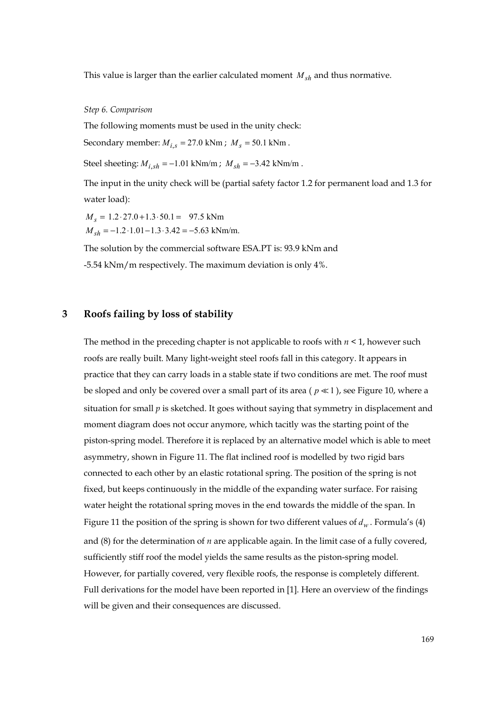This value is larger than the earlier calculated moment  $M_{sh}$  and thus normative.

*Step 6. Comparison* 

The following moments must be used in the unity check:

Secondary member:  $M_{i,s} = 27.0 \text{ kNm}$ ;  $M_s = 50.1 \text{ kNm}$ .

Steel sheeting:  $M_{i, sh} = -1.01$  kNm/m;  $M_{sh} = -3.42$  kNm/m.

The input in the unity check will be (partial safety factor 1.2 for permanent load and 1.3 for water load):

 $M_s = 1.2 \cdot 27.0 + 1.3 \cdot 50.1 = 97.5 \text{ kNm}$  $M_{sh} = -1.2 \cdot 1.01 - 1.3 \cdot 3.42 = -5.63$  kNm/m.

The solution by the commercial software ESA.PT is: 93.9 kNm and -5.54 kNm/m respectively. The maximum deviation is only 4%.

# **3 Roofs failing by loss of stability**

The method in the preceding chapter is not applicable to roofs with *n* < 1, however such roofs are really built. Many light-weight steel roofs fall in this category. It appears in practice that they can carry loads in a stable state if two conditions are met. The roof must be sloped and only be covered over a small part of its area ( $p \ll 1$ ), see Figure 10, where a situation for small  $p$  is sketched. It goes without saying that symmetry in displacement and moment diagram does not occur anymore, which tacitly was the starting point of the piston-spring model. Therefore it is replaced by an alternative model which is able to meet asymmetry, shown in Figure 11. The flat inclined roof is modelled by two rigid bars connected to each other by an elastic rotational spring. The position of the spring is not fixed, but keeps continuously in the middle of the expanding water surface. For raising water height the rotational spring moves in the end towards the middle of the span. In Figure 11 the position of the spring is shown for two different values of  $d_w$ . Formula's (4) and (8) for the determination of *n* are applicable again. In the limit case of a fully covered, sufficiently stiff roof the model yields the same results as the piston-spring model. However, for partially covered, very flexible roofs, the response is completely different. Full derivations for the model have been reported in [1]. Here an overview of the findings will be given and their consequences are discussed.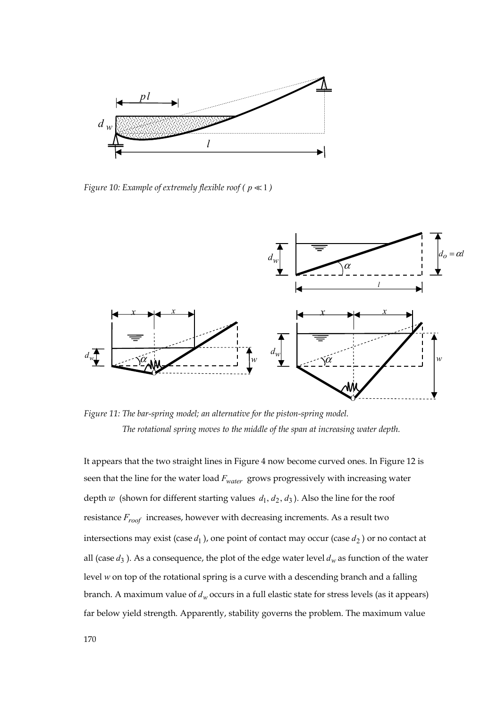

*Figure 10: Example of extremely flexible roof (* $p \ll 1$ *)* 



*Figure 11: The bar-spring model; an alternative for the piston-spring model. The rotational spring moves to the middle of the span at increasing water depth.* 

It appears that the two straight lines in Figure 4 now become curved ones. In Figure 12 is seen that the line for the water load *Fwater* grows progressively with increasing water depth  $w$  (shown for different starting values  $d_1, d_2, d_3$ ). Also the line for the roof resistance *Froof* increases, however with decreasing increments. As a result two intersections may exist (case  $d_1$ ), one point of contact may occur (case  $d_2$ ) or no contact at all (case  $d_3$ ). As a consequence, the plot of the edge water level  $d_w$  as function of the water level *w* on top of the rotational spring is a curve with a descending branch and a falling branch. A maximum value of  $d_w$  occurs in a full elastic state for stress levels (as it appears) far below yield strength. Apparently, stability governs the problem. The maximum value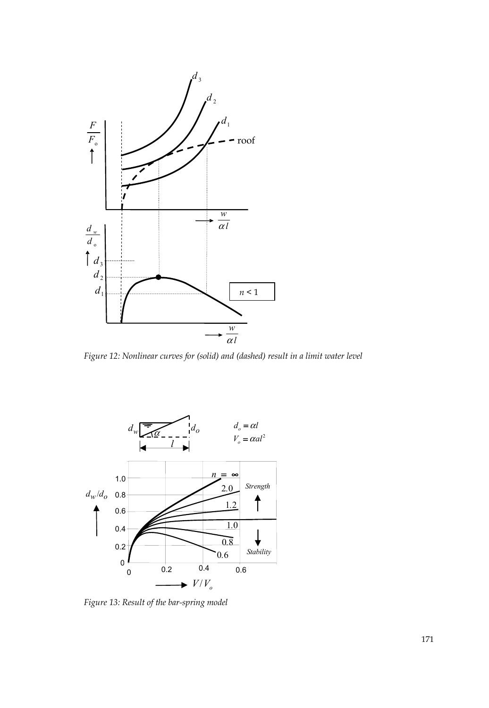

*Figure 12: Nonlinear curves for (solid) and (dashed) result in a limit water level* 



*Figure 13: Result of the bar-spring model*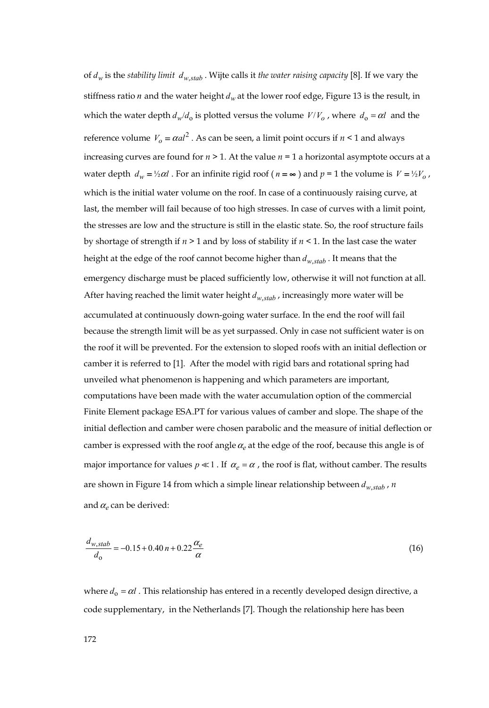of  $d_w$  is the *stability limit*  $d_w$  stab. Wijte calls it *the water raising capacity* [8]. If we vary the stiffness ratio *n* and the water height  $d_w$  at the lower roof edge, Figure 13 is the result, in which the water depth  $d_w/d_0$  is plotted versus the volume  $V/V_o$ , where  $d_0 = \alpha l$  and the reference volume  $V<sub>o</sub> = \alpha a l^2$ . As can be seen, a limit point occurs if  $n < 1$  and always increasing curves are found for  $n \geq 1$ . At the value  $n = 1$  a horizontal asymptote occurs at a water depth  $d_w = \frac{1}{2}\alpha l$ . For an infinite rigid roof ( $n = \infty$ ) and  $p = 1$  the volume is  $V = \frac{1}{2}V_o$ , which is the initial water volume on the roof. In case of a continuously raising curve, at last, the member will fail because of too high stresses. In case of curves with a limit point, the stresses are low and the structure is still in the elastic state. So, the roof structure fails by shortage of strength if *n* > 1 and by loss of stability if *n* < 1. In the last case the water height at the edge of the roof cannot become higher than  $d_{w,stab}$ . It means that the emergency discharge must be placed sufficiently low, otherwise it will not function at all. After having reached the limit water height  $d_{w,stab}$ , increasingly more water will be accumulated at continuously down-going water surface. In the end the roof will fail because the strength limit will be as yet surpassed. Only in case not sufficient water is on the roof it will be prevented. For the extension to sloped roofs with an initial deflection or camber it is referred to [1]. After the model with rigid bars and rotational spring had unveiled what phenomenon is happening and which parameters are important, computations have been made with the water accumulation option of the commercial Finite Element package ESA.PT for various values of camber and slope. The shape of the initial deflection and camber were chosen parabolic and the measure of initial deflection or camber is expressed with the roof angle  $\alpha_e$  at the edge of the roof, because this angle is of major importance for values  $p \ll 1$ . If  $\alpha_e = \alpha$ , the roof is flat, without camber. The results are shown in Figure 14 from which a simple linear relationship between  $d_{w,stab}$ , *n* and  $\alpha$ <sub>c</sub> can be derived:

$$
\frac{d_{w,stab}}{d_0} = -0.15 + 0.40 n + 0.22 \frac{\alpha_e}{\alpha}
$$
\n(16)

where  $d_0 = \alpha l$ . This relationship has entered in a recently developed design directive, a code supplementary, in the Netherlands [7]. Though the relationship here has been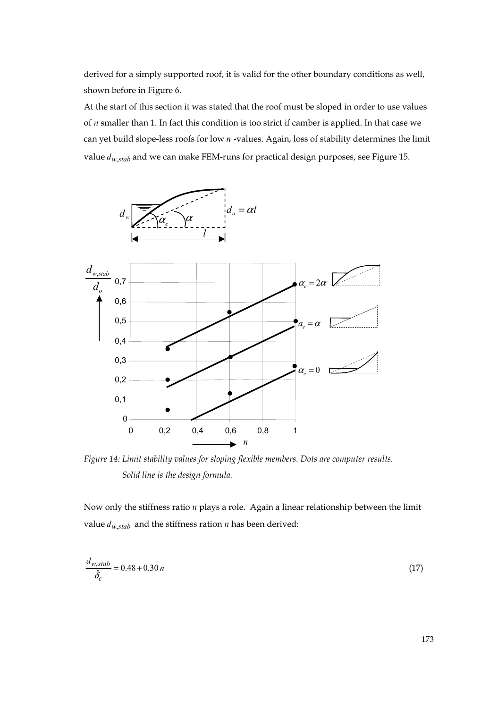derived for a simply supported roof, it is valid for the other boundary conditions as well, shown before in Figure 6.

At the start of this section it was stated that the roof must be sloped in order to use values of *n* smaller than 1. In fact this condition is too strict if camber is applied. In that case we can yet build slope-less roofs for low *n* -values. Again, loss of stability determines the limit value  $d_{w,stab}$  and we can make FEM-runs for practical design purposes, see Figure 15.



*Figure 14: Limit stability values for sloping flexible members. Dots are computer results. Solid line is the design formula.* 

Now only the stiffness ratio *n* plays a role. Again a linear relationship between the limit value  $d_{w,stab}$  and the stiffness ration *n* has been derived:

$$
\frac{d_{w,stab}}{\hat{\delta}_c} = 0.48 + 0.30 n \tag{17}
$$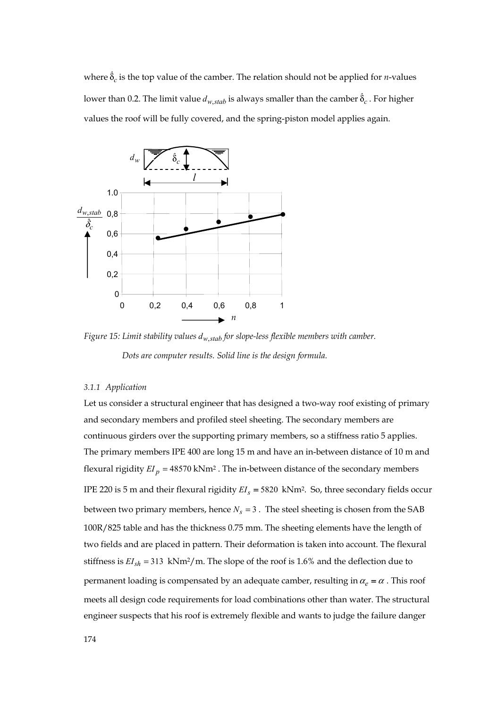where  $\hat{\delta}_c$  is the top value of the camber. The relation should not be applied for *n*-values lower than 0.2. The limit value  $d_{w,stab}$  is always smaller than the camber  $\hat{\delta}_c$  . For higher values the roof will be fully covered, and the spring-piston model applies again.



*Figure 15: Limit stability values*  $d_{w,stab}$  *for slope-less flexible members with camber.* 

 *Dots are computer results. Solid line is the design formula.* 

## *3.1.1 Application*

Let us consider a structural engineer that has designed a two-way roof existing of primary and secondary members and profiled steel sheeting. The secondary members are continuous girders over the supporting primary members, so a stiffness ratio 5 applies. The primary members IPE 400 are long 15 m and have an in-between distance of 10 m and flexural rigidity  $EI_p = 48570 \text{ kNm}^2$ . The in-between distance of the secondary members IPE 220 is 5 m and their flexural rigidity  $EI_s = 5820 \text{ kNm}^2$ . So, three secondary fields occur between two primary members, hence  $N_s = 3$ . The steel sheeting is chosen from the SAB 100R/825 table and has the thickness 0.75 mm. The sheeting elements have the length of two fields and are placed in pattern. Their deformation is taken into account. The flexural stiffness is  $EI_{sh}$  = 313 kNm<sup>2</sup>/m. The slope of the roof is 1.6% and the deflection due to permanent loading is compensated by an adequate camber, resulting in  $\alpha_e = \alpha$ . This roof meets all design code requirements for load combinations other than water. The structural engineer suspects that his roof is extremely flexible and wants to judge the failure danger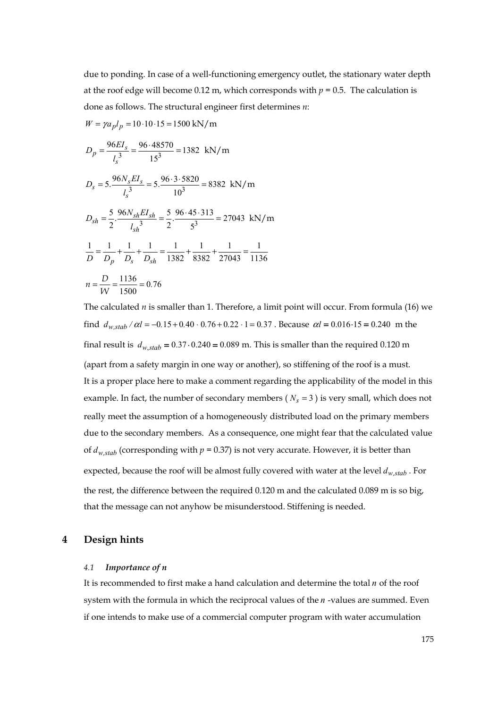due to ponding. In case of a well-functioning emergency outlet, the stationary water depth at the roof edge will become 0.12 m, which corresponds with  $p = 0.5$ . The calculation is done as follows. The structural engineer first determines *n*:

$$
W = \gamma a_p l_p = 10 \cdot 10 \cdot 15 = 1500 \text{ kN/m}
$$

$$
D_p = \frac{96EI_s}{\lambda^3} = \frac{96 \cdot 48570}{\lambda^2} = 1382 \text{ kN/m}
$$

$$
D_p = \frac{1}{l_s^3} = 1532 \text{ kN/m}
$$
  
\n
$$
D_s = 5 \cdot \frac{96N_sEI_s}{l_s^3} = 5 \cdot \frac{96 \cdot 3 \cdot 5820}{10^3} = 8382 \text{ kN/m}
$$
  
\n
$$
D_{sh} = \frac{5}{2} \cdot \frac{96N_{sh}EI_{sh}}{l_{sh}^3} = \frac{5}{2} \cdot \frac{96 \cdot 45 \cdot 313}{5^3} = 27043 \text{ kN/m}
$$
  
\n
$$
\frac{1}{D} = \frac{1}{D_p} + \frac{1}{D_s} + \frac{1}{D_{sh}} = \frac{1}{1382} + \frac{1}{8382} + \frac{1}{27043} = \frac{1}{1136}
$$
  
\n
$$
n = \frac{D}{W} = \frac{1136}{1500} = 0.76
$$

The calculated *n* is smaller than 1. Therefore, a limit point will occur. From formula (16) we find  $d_{w, stab}$  /  $\alpha l = -0.15 + 0.40 \cdot 0.76 + 0.22 \cdot 1 = 0.37$ . Because  $\alpha l = 0.016 \cdot 15 = 0.240$  m the final result is  $d_{w,stab} = 0.37 \cdot 0.240 = 0.089$  m. This is smaller than the required 0.120 m (apart from a safety margin in one way or another), so stiffening of the roof is a must. It is a proper place here to make a comment regarding the applicability of the model in this example. In fact, the number of secondary members ( $N_s = 3$ ) is very small, which does not really meet the assumption of a homogeneously distributed load on the primary members due to the secondary members. As a consequence, one might fear that the calculated value of  $d_{w,stab}$  (corresponding with  $p = 0.37$ ) is not very accurate. However, it is better than expected, because the roof will be almost fully covered with water at the level  $d_{w,stab}$ . For the rest, the difference between the required 0.120 m and the calculated 0.089 m is so big, that the message can not anyhow be misunderstood. Stiffening is needed.

# **4 Design hints**

#### *4.1 Importance of n*

It is recommended to first make a hand calculation and determine the total *n* of the roof system with the formula in which the reciprocal values of the *n* -values are summed. Even if one intends to make use of a commercial computer program with water accumulation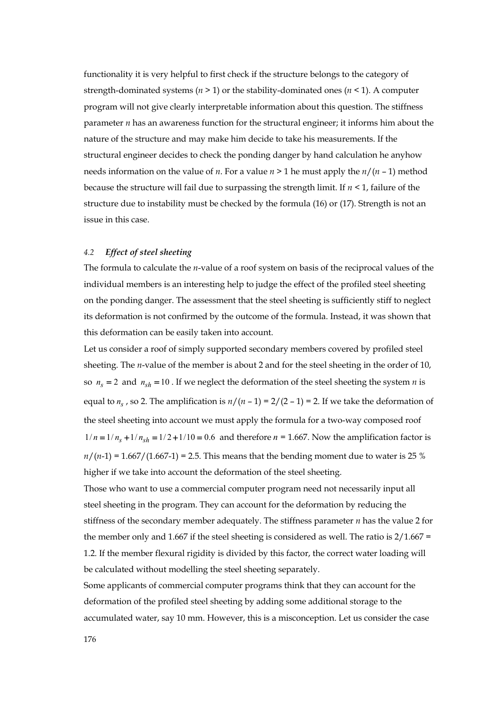functionality it is very helpful to first check if the structure belongs to the category of strength-dominated systems  $(n > 1)$  or the stability-dominated ones  $(n < 1)$ . A computer program will not give clearly interpretable information about this question. The stiffness parameter *n* has an awareness function for the structural engineer; it informs him about the nature of the structure and may make him decide to take his measurements. If the structural engineer decides to check the ponding danger by hand calculation he anyhow needs information on the value of *n*. For a value  $n > 1$  he must apply the  $n/(n-1)$  method because the structure will fail due to surpassing the strength limit. If  $n < 1$ , failure of the structure due to instability must be checked by the formula (16) or (17). Strength is not an issue in this case.

### *4.2 Effect of steel sheeting*

The formula to calculate the *n*-value of a roof system on basis of the reciprocal values of the individual members is an interesting help to judge the effect of the profiled steel sheeting on the ponding danger. The assessment that the steel sheeting is sufficiently stiff to neglect its deformation is not confirmed by the outcome of the formula. Instead, it was shown that this deformation can be easily taken into account.

Let us consider a roof of simply supported secondary members covered by profiled steel sheeting. The *n*-value of the member is about 2 and for the steel sheeting in the order of 10, so  $n_s = 2$  and  $n_{sh} = 10$ . If we neglect the deformation of the steel sheeting the system *n* is equal to  $n_s$ , so 2. The amplification is  $n/(n-1) = 2/(2-1) = 2$ . If we take the deformation of the steel sheeting into account we must apply the formula for a two-way composed roof  $1/n = 1/n_s + 1/n_{sh} = 1/2 + 1/10 = 0.6$  and therefore  $n = 1.667$ . Now the amplification factor is  $n/(n-1) = 1.667/(1.667-1) = 2.5$ . This means that the bending moment due to water is 25 % higher if we take into account the deformation of the steel sheeting.

Those who want to use a commercial computer program need not necessarily input all steel sheeting in the program. They can account for the deformation by reducing the stiffness of the secondary member adequately. The stiffness parameter *n* has the value 2 for the member only and 1.667 if the steel sheeting is considered as well. The ratio is  $2/1.667 =$ 1.2. If the member flexural rigidity is divided by this factor, the correct water loading will be calculated without modelling the steel sheeting separately.

Some applicants of commercial computer programs think that they can account for the deformation of the profiled steel sheeting by adding some additional storage to the accumulated water, say 10 mm. However, this is a misconception. Let us consider the case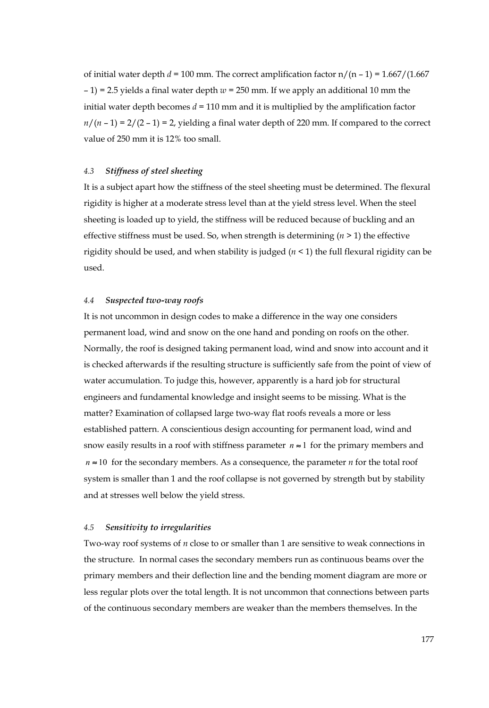of initial water depth  $d = 100$  mm. The correct amplification factor  $n/(n-1) = 1.667/(1.667)$  $-1$ ) = 2.5 yields a final water depth  $w = 250$  mm. If we apply an additional 10 mm the initial water depth becomes  $d = 110$  mm and it is multiplied by the amplification factor  $n/(n-1) = 2/(2-1) = 2$ , yielding a final water depth of 220 mm. If compared to the correct value of 250 mm it is 12% too small.

#### *4.3 Stiffness of steel sheeting*

It is a subject apart how the stiffness of the steel sheeting must be determined. The flexural rigidity is higher at a moderate stress level than at the yield stress level. When the steel sheeting is loaded up to yield, the stiffness will be reduced because of buckling and an effective stiffness must be used. So, when strength is determining (*n* > 1) the effective rigidity should be used, and when stability is judged (*n* < 1) the full flexural rigidity can be used.

#### *4.4 Suspected two-way roofs*

It is not uncommon in design codes to make a difference in the way one considers permanent load, wind and snow on the one hand and ponding on roofs on the other. Normally, the roof is designed taking permanent load, wind and snow into account and it is checked afterwards if the resulting structure is sufficiently safe from the point of view of water accumulation. To judge this, however, apparently is a hard job for structural engineers and fundamental knowledge and insight seems to be missing. What is the matter? Examination of collapsed large two-way flat roofs reveals a more or less established pattern. A conscientious design accounting for permanent load, wind and snow easily results in a roof with stiffness parameter  $n \approx 1$  for the primary members and  $n \approx 10$  for the secondary members. As a consequence, the parameter *n* for the total roof system is smaller than 1 and the roof collapse is not governed by strength but by stability and at stresses well below the yield stress.

#### *4.5 Sensitivity to irregularities*

Two-way roof systems of *n* close to or smaller than 1 are sensitive to weak connections in the structure. In normal cases the secondary members run as continuous beams over the primary members and their deflection line and the bending moment diagram are more or less regular plots over the total length. It is not uncommon that connections between parts of the continuous secondary members are weaker than the members themselves. In the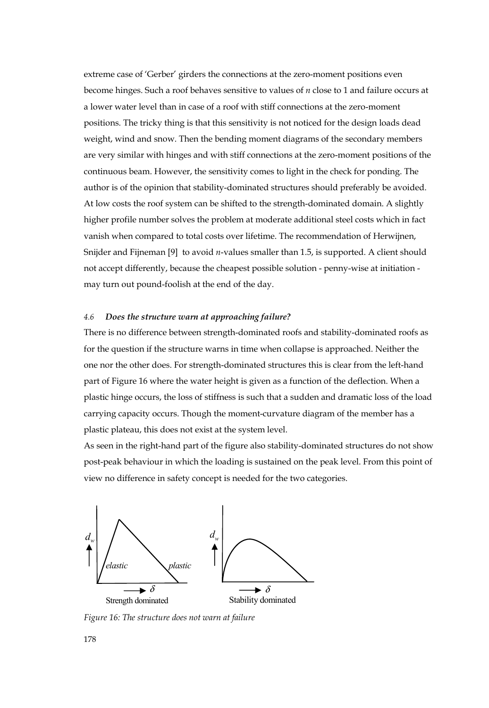extreme case of 'Gerber' girders the connections at the zero-moment positions even become hinges. Such a roof behaves sensitive to values of *n* close to 1 and failure occurs at a lower water level than in case of a roof with stiff connections at the zero-moment positions. The tricky thing is that this sensitivity is not noticed for the design loads dead weight, wind and snow. Then the bending moment diagrams of the secondary members are very similar with hinges and with stiff connections at the zero-moment positions of the continuous beam. However, the sensitivity comes to light in the check for ponding. The author is of the opinion that stability-dominated structures should preferably be avoided. At low costs the roof system can be shifted to the strength-dominated domain. A slightly higher profile number solves the problem at moderate additional steel costs which in fact vanish when compared to total costs over lifetime. The recommendation of Herwijnen, Snijder and Fijneman [9] to avoid *n*-values smaller than 1.5, is supported. A client should not accept differently, because the cheapest possible solution - penny-wise at initiation may turn out pound-foolish at the end of the day.

# *4.6 Does the structure warn at approaching failure?*

There is no difference between strength-dominated roofs and stability-dominated roofs as for the question if the structure warns in time when collapse is approached. Neither the one nor the other does. For strength-dominated structures this is clear from the left-hand part of Figure 16 where the water height is given as a function of the deflection. When a plastic hinge occurs, the loss of stiffness is such that a sudden and dramatic loss of the load carrying capacity occurs. Though the moment-curvature diagram of the member has a plastic plateau, this does not exist at the system level.

As seen in the right-hand part of the figure also stability-dominated structures do not show post-peak behaviour in which the loading is sustained on the peak level. From this point of view no difference in safety concept is needed for the two categories.



*Figure 16: The structure does not warn at failure*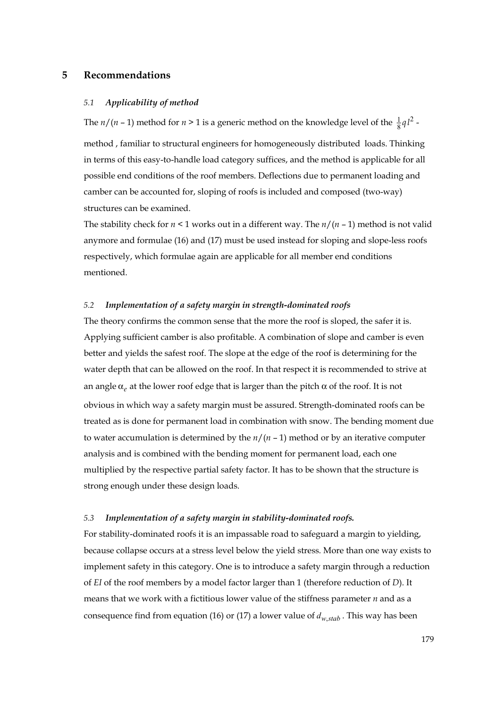# **5 Recommendations**

## *5.1 Applicability of method*

The *n*/(*n* – 1) method for *n* > 1 is a generic method on the knowledge level of the  $\frac{1}{8}q l^2$  method , familiar to structural engineers for homogeneously distributed loads. Thinking in terms of this easy-to-handle load category suffices, and the method is applicable for all possible end conditions of the roof members. Deflections due to permanent loading and camber can be accounted for, sloping of roofs is included and composed (two-way) structures can be examined.

The stability check for *n* < 1 works out in a different way. The *n*/(*n* – 1) method is not valid anymore and formulae (16) and (17) must be used instead for sloping and slope-less roofs respectively, which formulae again are applicable for all member end conditions mentioned.

# *5.2 Implementation of a safety margin in strength-dominated roofs*

The theory confirms the common sense that the more the roof is sloped, the safer it is. Applying sufficient camber is also profitable. A combination of slope and camber is even better and yields the safest roof. The slope at the edge of the roof is determining for the water depth that can be allowed on the roof. In that respect it is recommended to strive at an angle  $\alpha_e$  at the lower roof edge that is larger than the pitch  $\alpha$  of the roof. It is not obvious in which way a safety margin must be assured. Strength-dominated roofs can be treated as is done for permanent load in combination with snow. The bending moment due to water accumulation is determined by the  $n/(n-1)$  method or by an iterative computer analysis and is combined with the bending moment for permanent load, each one multiplied by the respective partial safety factor. It has to be shown that the structure is strong enough under these design loads.

# *5.3 Implementation of a safety margin in stability-dominated roofs.*

For stability-dominated roofs it is an impassable road to safeguard a margin to yielding, because collapse occurs at a stress level below the yield stress. More than one way exists to implement safety in this category. One is to introduce a safety margin through a reduction of *EI* of the roof members by a model factor larger than 1 (therefore reduction of *D*). It means that we work with a fictitious lower value of the stiffness parameter *n* and as a consequence find from equation (16) or (17) a lower value of  $d_{w \text{ stab}}$ . This way has been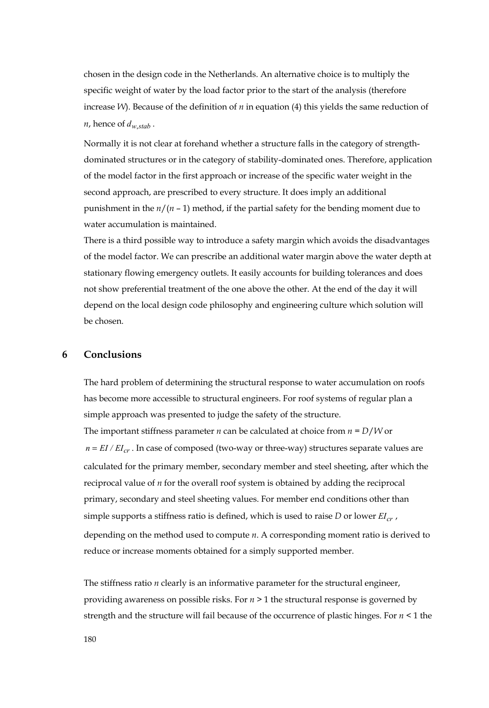chosen in the design code in the Netherlands. An alternative choice is to multiply the specific weight of water by the load factor prior to the start of the analysis (therefore increase *W*). Because of the definition of *n* in equation (4) this yields the same reduction of *n*, hence of  $d_{w,stab}$ .

Normally it is not clear at forehand whether a structure falls in the category of strengthdominated structures or in the category of stability-dominated ones. Therefore, application of the model factor in the first approach or increase of the specific water weight in the second approach, are prescribed to every structure. It does imply an additional punishment in the  $n/(n-1)$  method, if the partial safety for the bending moment due to water accumulation is maintained.

There is a third possible way to introduce a safety margin which avoids the disadvantages of the model factor. We can prescribe an additional water margin above the water depth at stationary flowing emergency outlets. It easily accounts for building tolerances and does not show preferential treatment of the one above the other. At the end of the day it will depend on the local design code philosophy and engineering culture which solution will be chosen.

# **6 Conclusions**

The hard problem of determining the structural response to water accumulation on roofs has become more accessible to structural engineers. For roof systems of regular plan a simple approach was presented to judge the safety of the structure. The important stiffness parameter *n* can be calculated at choice from *n* = *D*/*W* or  $n = EI/ EI_{cr}$ . In case of composed (two-way or three-way) structures separate values are calculated for the primary member, secondary member and steel sheeting, after which the reciprocal value of *n* for the overall roof system is obtained by adding the reciprocal primary, secondary and steel sheeting values. For member end conditions other than simple supports a stiffness ratio is defined, which is used to raise *D* or lower  $EI_{cr}$ , depending on the method used to compute *n*. A corresponding moment ratio is derived to reduce or increase moments obtained for a simply supported member.

The stiffness ratio *n* clearly is an informative parameter for the structural engineer, providing awareness on possible risks. For *n* > 1 the structural response is governed by strength and the structure will fail because of the occurrence of plastic hinges. For *n* < 1 the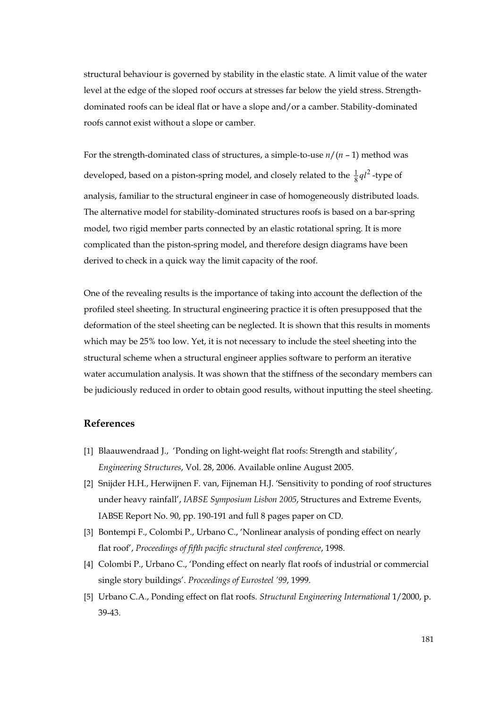structural behaviour is governed by stability in the elastic state. A limit value of the water level at the edge of the sloped roof occurs at stresses far below the yield stress. Strengthdominated roofs can be ideal flat or have a slope and/or a camber. Stability-dominated roofs cannot exist without a slope or camber.

For the strength-dominated class of structures, a simple-to-use *n*/(*n* – 1) method was developed, based on a piston-spring model, and closely related to the  $\frac{1}{8}q l^2$ -type of analysis, familiar to the structural engineer in case of homogeneously distributed loads. The alternative model for stability-dominated structures roofs is based on a bar-spring model, two rigid member parts connected by an elastic rotational spring. It is more complicated than the piston-spring model, and therefore design diagrams have been derived to check in a quick way the limit capacity of the roof.

One of the revealing results is the importance of taking into account the deflection of the profiled steel sheeting. In structural engineering practice it is often presupposed that the deformation of the steel sheeting can be neglected. It is shown that this results in moments which may be 25% too low. Yet, it is not necessary to include the steel sheeting into the structural scheme when a structural engineer applies software to perform an iterative water accumulation analysis. It was shown that the stiffness of the secondary members can be judiciously reduced in order to obtain good results, without inputting the steel sheeting.

# **References**

- [1] Blaauwendraad J., 'Ponding on light-weight flat roofs: Strength and stability', *Engineering Structures*, Vol. 28, 2006. Available online August 2005.
- [2] Snijder H.H., Herwijnen F. van, Fijneman H.J. 'Sensitivity to ponding of roof structures under heavy rainfall', *IABSE Symposium Lisbon 2005*, Structures and Extreme Events, IABSE Report No. 90, pp. 190-191 and full 8 pages paper on CD.
- [3] Bontempi F., Colombi P., Urbano C., 'Nonlinear analysis of ponding effect on nearly flat roof', *Proceedings of fifth pacific structural steel conference*, 1998.
- [4] Colombi P., Urbano C., 'Ponding effect on nearly flat roofs of industrial or commercial single story buildings'. *Proceedings of Eurosteel '99*, 1999.
- [5] Urbano C.A., Ponding effect on flat roofs. *Structural Engineering International* 1/2000, p. 39-43.